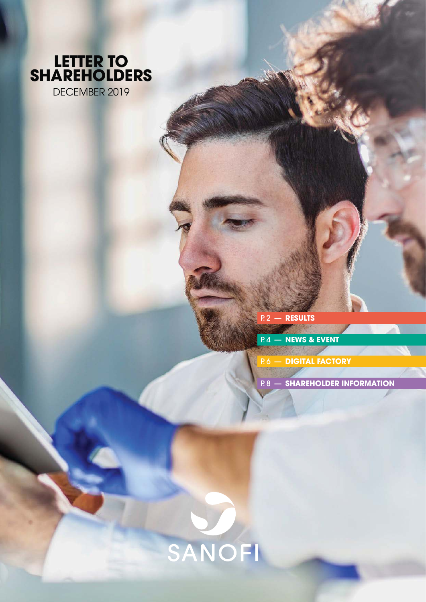

P. 2 — **[RESULTS](#page-1-0)**

P. 4 — **[NEWS & EVENT](#page-3-0)**

**P.6 — [DIGITAL FACTORY](#page-5-0)** 

P. 8 — **[SHAREHOLDER INFORMATION](#page-7-0)**

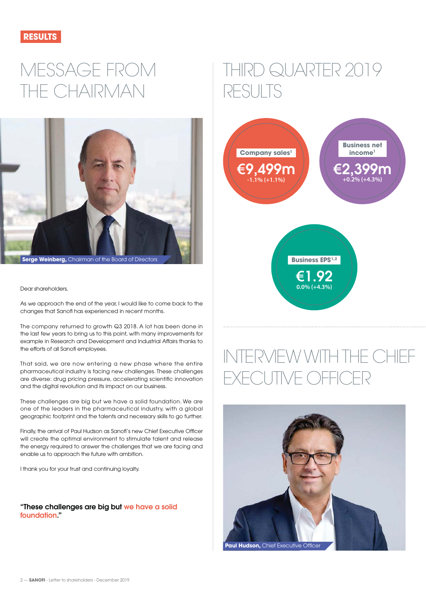<span id="page-1-0"></span>

# MESSAGE FROM THE CHAIRMAN



Dear shareholders,

As we approach the end of the year, I would like to come back to the changes that Sanofi has experienced in recent months.

The company returned to growth Q3 2018. A lot has been done in the last few years to bring us to this point, with many improvements for example in Research and Development and Industrial Affairs thanks to the efforts of all Sanofi employees.

That said, we are now entering a new phase where the entire pharmaceutical industry is facing new challenges. These challenges are diverse: drug pricing pressure, accelerating scientific innovation and the digital revolution and its impact on our business.

These challenges are big but we have a solid foundation. We are one of the leaders in the pharmaceutical industry, with a global geographic footprint and the talents and necessary skills to go further.

Finally, the arrival of Paul Hudson as Sanofi's new Chief Executive Officer will create the optimal environment to stimulate talent and release the energy required to answer the challenges that we are facing and enable us to approach the future with ambition.

I thank you for your trust and continuing loyalty.

**"These challenges are big but we have a solid foundation."**

# THIRD QUARTER 2019 RESULTS



**Business EPS<sup>1,2</sup> €1.92 0.0% (+4.3%)**

# INTERVIEW WITH THE CHIEF XECUTIVE OFFICE

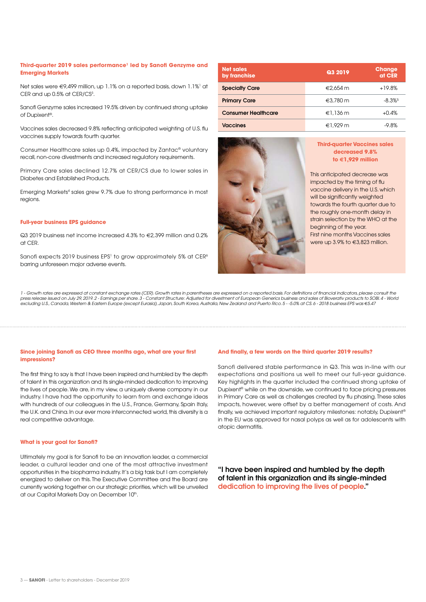#### **Third-quarter 2019 sales performance1 led by Sanofi Genzyme and Emerging Markets**

Net sales were €9,499 million, up 1.1% on a reported basis, down 1.1%<sup>1</sup> at CER and up 0.5% at CER/CS $3$ .

Sanofi Genzyme sales increased 19.5% driven by continued strong uptake of Dupixent®.

Vaccines sales decreased 9.8% reflecting anticipated weighting of U.S. flu vaccines supply towards fourth quarter.

Consumer Healthcare sales up 0.4%, impacted by Zantac® voluntary recall, non-core divestments and increased regulatory requirements.

Primary Care sales declined 12.7% at CER/CS due to lower sales in Diabetes and Established Products.

Emerging Markets4 sales grew 9.7% due to strong performance in most regions.

#### **Full-year business EPS guidance**

 $\Omega$ 3 2019 business net income increased 4.3% to  $\epsilon$ 2,399 million and 0.2% at CER.

Sanofi expects 2019 business EPS<sup>1</sup> to grow approximately 5% at CER<sup>6</sup> barring unforeseen major adverse events.

| <b>Net sales</b><br>by franchise | Q3 2019            | <b>Change</b><br>at CER |
|----------------------------------|--------------------|-------------------------|
| <b>Specialty Care</b>            | €2.654 $m$         | $+19.8%$                |
| <b>Primary Care</b>              | $\epsilon$ 3,780 m | $-8.3\%$ <sup>5</sup>   |
| <b>Consumer Healthcare</b>       | €1,136 $m$         | $+0.4%$                 |
| <b>Vaccines</b>                  | $€1.929$ m         | -9.8%                   |



#### **Third-quarter Vaccines sales decreased 9.8% to €1,929 million**

This anticipated decrease was impacted by the timing of flu vaccine delivery in the U.S. which will be significantly weighted towards the fourth quarter due to the roughly one-month delay in strain selection by the WHO at the beginning of the year. First nine months Vaccines sales were up 3.9% to €3,823 million.

1 - Growth rates are expressed at constant exchange rates (CER). Growth rates in parentheses are expressed on a reported basis. For definitions of financial indicators, please consult the press release issued on July 29, 2019. 2 - Earnings per share. 3 - Constant Structure: Adjusted for divestment of European Generics business and sales of Bioverativ products to SOBI. 4 - World<br>excluding U.S., Canada, West

#### **Since joining Sanofi as CEO three months ago, what are your first impressions?**

The first thing to say is that I have been inspired and humbled by the depth of talent in this organization and its single-minded dedication to improving the lives of people. We are, in my view, a uniquely diverse company in our industry. I have had the opportunity to learn from and exchange ideas with hundreds of our colleagues in the U.S., France, Germany, Spain Italy, the U.K. and China. In our ever more interconnected world, this diversity is a real competitive advantage.

#### **What is your goal for Sanofi?**

Ultimately my goal is for Sanofi to be an innovation leader, a commercial leader, a cultural leader and one of the most attractive investment opportunities in the biopharma industry. It's a big task but I am completely energized to deliver on this. The Executive Committee and the Board are currently working together on our strategic priorities, which will be unveiled at our Capital Markets Day on December 10th.

#### **And finally, a few words on the third quarter 2019 results?**

Sanofi delivered stable performance in Q3. This was in-line with our expectations and positions us well to meet our full-year guidance. Key highlights in the quarter included the continued strong uptake of Dupixent® while on the downside, we continued to face pricing pressures in Primary Care as well as challenges created by flu phasing. These sales impacts, however, were offset by a better management of costs. And finally, we achieved important regulatory milestones: notably, Dupixent® in the EU was approved for nasal polyps as well as for adolescents with atopic dermatitis.

**"I have been inspired and humbled by the depth of talent in this organization and its single-minded dedication to improving the lives of people."**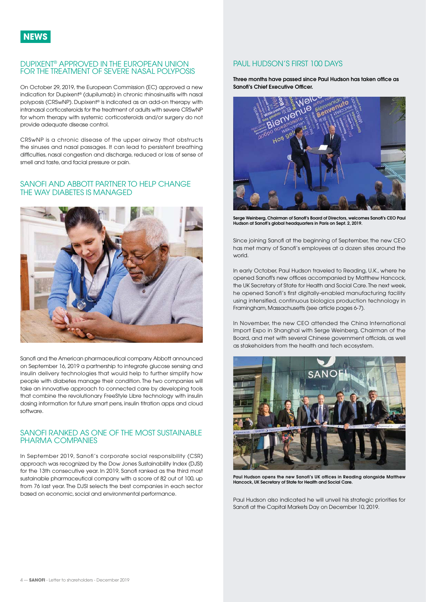#### <span id="page-3-0"></span>DUPIXENT® APPROVED IN THE EUROPEAN UNION FOR THE TREATMENT OF SEVERE NASAL POLYPOSIS

On October 29, 2019, the European Commission (EC) approved a new indication for Dupixent® (dupilumab) in chronic rhinosinusitis with nasal polyposis (CRSwNP). Dupixent® is indicated as an add-on therapy with intranasal corticosteroids for the treatment of adults with severe CRSwNP for whom therapy with systemic corticosteroids and/or surgery do not provide adequate disease control.

CRSwNP is a chronic disease of the upper airway that obstructs the sinuses and nasal passages. It can lead to persistent breathing difficulties, nasal congestion and discharge, reduced or loss of sense of smell and taste, and facial pressure or pain.

#### SANOFI AND ABBOTT PARTNER TO HELP CHANGE THE WAY DIABETES IS MANAGED



Sanofi and the American pharmaceutical company Abbott announced on September 16, 2019 a partnership to integrate glucose sensing and insulin delivery technologies that would help to further simplify how people with diabetes manage their condition. The two companies will take an innovative approach to connected care by developing tools that combine the revolutionary FreeStyle Libre technology with insulin dosing information for future smart pens, insulin titration apps and cloud software.

#### SANOFI RANKED AS ONE OF THE MOST SUSTAINABLE PHARMA COMPANIES

In September 2019, Sanofi's corporate social responsibility (CSR) approach was recognized by the Dow Jones Sustainability Index (DJSI) for the 13th consecutive year. In 2019, Sanofi ranked as the third most sustainable pharmaceutical company with a score of 82 out of 100, up from 76 last year. The DJSI selects the best companies in each sector based on economic, social and environmental performance.

#### PAUL HUDSON'S FIRST 100 DAYS

**Three months have passed since Paul Hudson has taken office as Sanofi's Chief Executive Officer.**



**Serge Weinberg, Chairman of Sanofi's Board of Directors, welcomes Sanofi's CEO Paul Hudson at Sanofi's global headquarters in Paris on Sept. 2, 2019.**

Since joining Sanofi at the beginning of September, the new CEO has met many of Sanofi's employees at a dozen sites around the world.

In early October, Paul Hudson traveled to Reading, U.K., where he opened Sanofi's new offices accompanied by Matthew Hancock, the UK Secretary of State for Health and Social Care. The next week, he opened Sanofi's first digitally-enabled manufacturing facility using intensified, continuous biologics production technology in Framingham, Massachusetts (see article pages 6-7).

In November, the new CEO attended the China International Import Expo in Shanghai with Serge Weinberg, Chairman of the Board, and met with several Chinese government officials, as well as stakeholders from the health and tech ecosystem.



**Paul Hudson opens the new Sanofi's UK offices in Reading alongside Matthew Hancock, UK Secretary of State for Health and Social Care.**

Paul Hudson also indicated he will unveil his strategic priorities for Sanofi at the Capital Markets Day on December 10, 2019.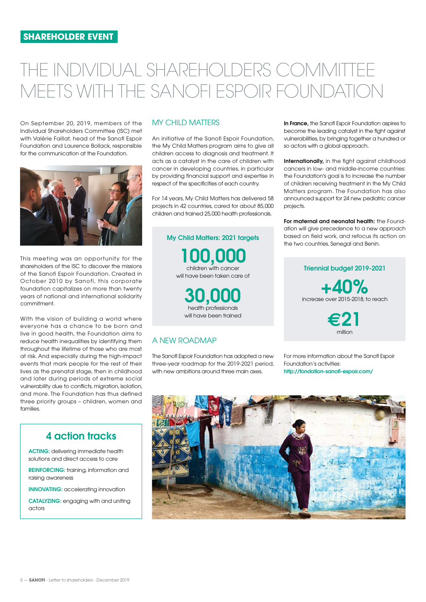# THE INDIVIDUAL SHAREHOLDERS COMMITTEE MEETS WITH THE SANOFI ESPOIR FOUNDATION

On September 20, 2019, members of the Individual Shareholders Committee (ISC) met with Valérie Faillat, head of the Sanofi Espoir Foundation and Laurence Bollack, responsible for the communication at the Foundation.



This meeting was an opportunity for the shareholders of the ISC to discover the missions of the Sanofi Espoir Foundation. Created in October 2010 by Sanofi, this corporate foundation capitalizes on more than twenty years of national and international solidarity commitment.

With the vision of building a world where everyone has a chance to be born and live in good health, the Foundation aims to reduce health inequalities by identifying them throughout the lifetime of those who are most at risk. And especially during the high-impact events that mark people for the rest of their lives as the prenatal stage, then in childhood and later during periods of extreme social vulnerability due to conflicts, migration, isolation, and more. The Foundation has thus defined three priority groups – children, women and families.

# **4 action tracks**

**ACTING:** delivering immediate health solutions and direct access to care

**REINFORCING:** training, information and raising awareness

**INNOVATING:** accelerating innovation

**CATALYZING:** engaging with and uniting actors

## MY CHILD MATTERS

An initiative of the Sanofi Espoir Foundation, the My Child Matters program aims to give all children access to diagnosis and treatment. It acts as a catalyst in the care of children with cancer in developing countries, in particular by providing financial support and expertise in respect of the specificities of each country.

For 14 years, My Child Matters has delivered 58 projects in 42 countries, cared for about 85,000 children and trained 25,000 health professionals.

**My Child Matters: 2021 targets 100,000** children with cancer will have been taken care of **30,000**  health professionals

will have been trained

## A NEW ROADMAP

The Sanofi Espoir Foundation has adopted a new three-year roadmap for the 2019-2021 period, with new ambitions around three main axes.

**In France,** the Sanofi Espoir Foundation aspires to become the leading catalyst in the fight against vulnerabilities, by bringing together a hundred or so actors with a global approach.

**Internationally,** in the fight against childhood cancers in low- and middle-income countries: the Foundation's goal is to increase the number of children receiving treatment in the My Child Matters program. The Foundation has also announced support for 24 new pediatric cancer projects.

**For maternal and neonatal health:** the Foundation will give precedence to a new approach based on field work, and refocus its action on the two countries, Senegal and Benin.

# Triennial b**udget 2019-2021**  increase over 2015-2018, to reach **+40%**

**€21** million

For more information about the Sanofi Espoir Foundation's activities: **[http://fondation-sanofi-espoir.com/](http://fondation-sano%EF%AC%81-espoir.com/)**

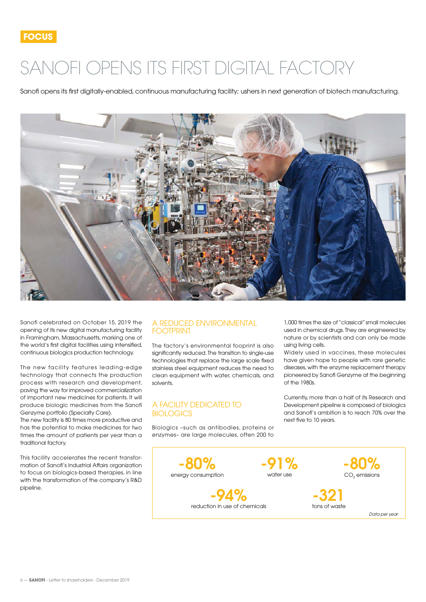# <span id="page-5-0"></span>SANOFI OPENS ITS FIRST DIGITAL FACTORY

Sanofi opens its first digitally-enabled, continuous manufacturing facility; ushers in next generation of biotech manufacturing.



Sanofi celebrated on October 15, 2019 the opening of its new digital manufacturing facility in Framingham, Massachusetts, marking one of the world's first digital facilities using intensified, continuous biologics production technology.

The new facility features leading-edge technology that connects the production process with research and development, paving the way for improved commercialization of important new medicines for patients. It will produce biologic medicines from the Sanofi Genzyme portfolio (Specialty Care).

The new facility is 80 times more productive and has the potential to make medicines for two times the amount of patients per year than a traditional factory.

This facility accelerates the recent transformation of Sanofi's Industrial Affairs organization to focus on biologics-based therapies, in line with the transformation of the company's R&D pipeline.

#### A REDUCED ENVIRONMENTAL FOOTPRINT

The factory's environmental fooprint is also significantly reduced. The transition to single-use technologies that replace the large scale fixed stainless steel equipment reduces the need to clean equipment with water, chemicals, and solvents.

### A FACILITY DEDICATED TO **BIOLOGICS**

Biologics –such as antibodies, proteins or enzymes– are large molecules, often 200 to

1,000 times the size of "classical" small molecules used in chemical drugs. They are engineered by nature or by scientists and can only be made using living cells.

Widely used in vaccines, these molecules have given hope to people with rare genetic diseases, with the enzyme replacement therapy pioneered by Sanofi Genzyme at the beginning  $\overline{C}$  of the 1980s.

Currently, more than a half of its Research and Development pipeline is composed of biologics and Sanofi's ambition is to reach 70% over the next five to 10 years.

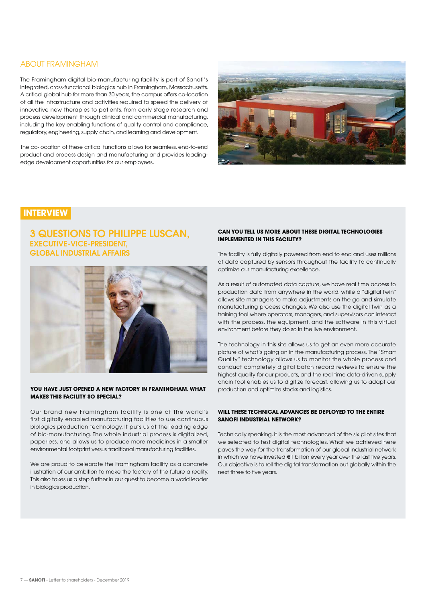#### ABOUT FRAMINGHAM

The Framingham digital bio-manufacturing facility is part of Sanofi's integrated, cross-functional biologics hub in Framingham, Massachusetts. A critical global hub for more than 30 years, the campus offers co-location of all the infrastructure and activities required to speed the delivery of innovative new therapies to patients, from early stage research and process development through clinical and commercial manufacturing, including the key enabling functions of quality control and compliance, regulatory, engineering, supply chain, and learning and development.

The co-location of these critical functions allows for seamless, end-to-end product and process design and manufacturing and provides leadingedge development opportunities for our employees.



# **INTERVIEW**

## **3 QUESTIONS TO PHILIPPE LUSCAN, EXECUTIVE-VICE-PRESIDENT, GLOBAL INDUSTRIAL AFFAIRS**



#### **YOU HAVE JUST OPENED A NEW FACTORY IN FRAMINGHAM. WHAT MAKES THIS FACILITY SO SPECIAL?**

Our brand new Framingham facility is one of the world's first digitally enabled manufacturing facilities to use continuous biologics production technology. It puts us at the leading edge of bio-manufacturing. The whole industrial process is digitalized, paperless, and allows us to produce more medicines in a smaller environmental footprint versus traditional manufacturing facilities.

We are proud to celebrate the Framingham facility as a concrete illustration of our ambition to make the factory of the future a reality. This also takes us a step further in our quest to become a world leader in biologics production.

#### **CAN YOU TELL US MORE ABOUT THESE DIGITAL TECHNOLOGIES IMPLEMENTED IN THIS FACILITY?**

The facility is fully digitally powered from end to end and uses millions of data captured by sensors throughout the facility to continually optimize our manufacturing excellence.

As a result of automated data capture, we have real time access to production data from anywhere in the world, while a "digital twin" allows site managers to make adjustments on the go and simulate manufacturing process changes. We also use the digital twin as a training tool where operators, managers, and supervisors can interact with the process, the equipment, and the software in this virtual environment before they do so in the live environment.

The technology in this site allows us to get an even more accurate picture of what's going on in the manufacturing process. The "Smart Quality" technology allows us to monitor the whole process and conduct completely digital batch record reviews to ensure the highest quality for our products, and the real time data-driven supply chain tool enables us to digitize forecast, allowing us to adapt our production and optimize stocks and logistics.

#### **WILL THESE TECHNICAL ADVANCES BE DEPLOYED TO THE ENTIRE SANOFI INDUSTRIAL NETWORK?**

Technically speaking, it is the most advanced of the six pilot sites that we selected to test digital technologies. What we achieved here paves the way for the transformation of our global industrial network in which we have invested €1 billion every year over the last five years. Our objective is to roll the digital transformation out globally within the next three to five years.